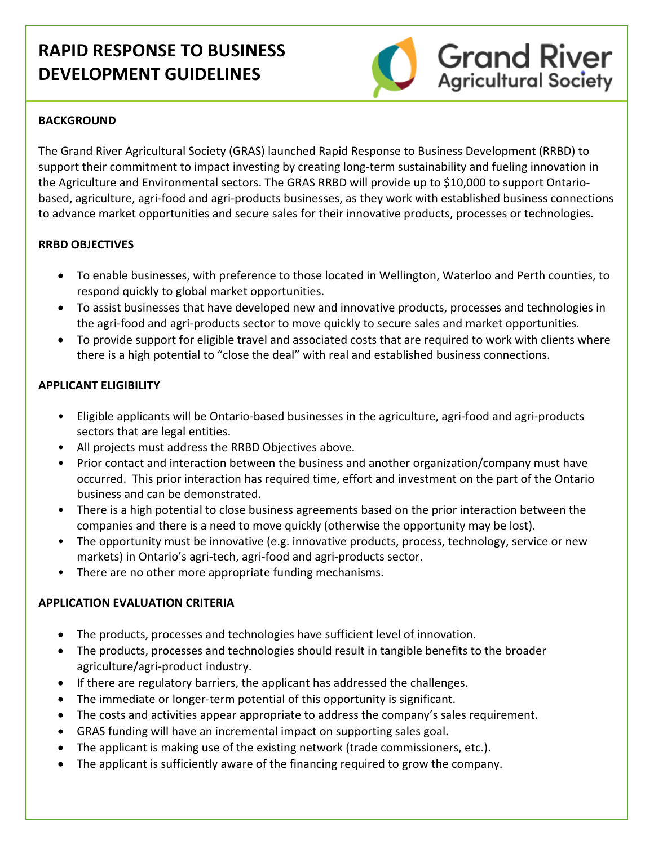# **RAPID RESPONSE TO BUSINESS DEVELOPMENT GUIDELINES**



## **BACKGROUND**

The Grand River Agricultural Society (GRAS) launched Rapid Response to Business Development (RRBD) to support their commitment to impact investing by creating long-term sustainability and fueling innovation in the Agriculture and Environmental sectors. The GRAS RRBD will provide up to \$10,000 to support Ontario‐ based, agriculture, agri‐food and agri‐products businesses, as they work with established business connections to advance market opportunities and secure sales for their innovative products, processes or technologies.

## **RRBD OBJECTIVES**

- To enable businesses, with preference to those located in Wellington, Waterloo and Perth counties, to respond quickly to global market opportunities.
- To assist businesses that have developed new and innovative products, processes and technologies in the agri‐food and agri‐products sector to move quickly to secure sales and market opportunities.
- To provide support for eligible travel and associated costs that are required to work with clients where there is a high potential to "close the deal" with real and established business connections.

## **APPLICANT ELIGIBILITY**

- Eligible applicants will be Ontario‐based businesses in the agriculture, agri‐food and agri‐products sectors that are legal entities.
- All projects must address the RRBD Objectives above.
- Prior contact and interaction between the business and another organization/company must have occurred. This prior interaction has required time, effort and investment on the part of the Ontario business and can be demonstrated.
- There is a high potential to close business agreements based on the prior interaction between the companies and there is a need to move quickly (otherwise the opportunity may be lost).
- The opportunity must be innovative (e.g. innovative products, process, technology, service or new markets) in Ontario's agri‐tech, agri‐food and agri‐products sector.
- There are no other more appropriate funding mechanisms.

## **APPLICATION EVALUATION CRITERIA**

- The products, processes and technologies have sufficient level of innovation.
- The products, processes and technologies should result in tangible benefits to the broader agriculture/agri‐product industry.
- If there are regulatory barriers, the applicant has addressed the challenges.
- The immediate or longer‐term potential of this opportunity is significant.
- The costs and activities appear appropriate to address the company's sales requirement.
- GRAS funding will have an incremental impact on supporting sales goal.
- The applicant is making use of the existing network (trade commissioners, etc.).
- The applicant is sufficiently aware of the financing required to grow the company.